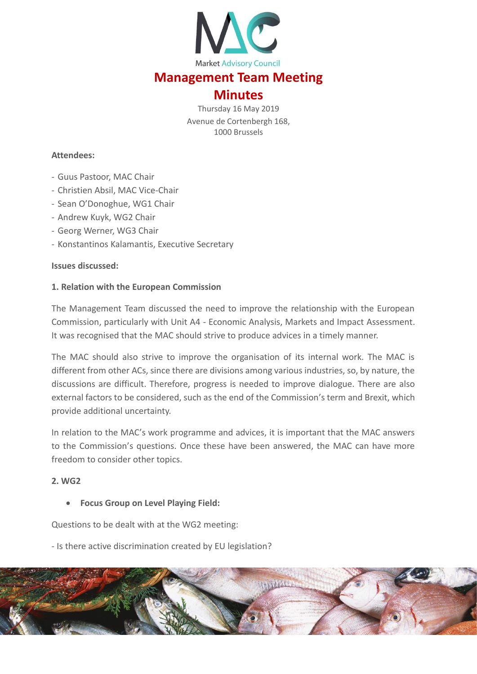

# **Management Team Meeting**

## **Minutes**

Thursday 16 May 2019 Avenue de Cortenbergh 168, 1000 Brussels

#### **Attendees:**

- Guus Pastoor, MAC Chair
- Christien Absil, MAC Vice-Chair
- Sean O'Donoghue, WG1 Chair
- Andrew Kuyk, WG2 Chair
- Georg Werner, WG3 Chair
- Konstantinos Kalamantis, Executive Secretary

#### **Issues discussed:**

#### **1. Relation with the European Commission**

The Management Team discussed the need to improve the relationship with the European Commission, particularly with Unit A4 - Economic Analysis, Markets and Impact Assessment. It was recognised that the MAC should strive to produce advices in a timely manner.

The MAC should also strive to improve the organisation of its internal work. The MAC is different from other ACs, since there are divisions among various industries, so, by nature, the discussions are difficult. Therefore, progress is needed to improve dialogue. There are also external factors to be considered, such as the end of the Commission's term and Brexit, which provide additional uncertainty.

In relation to the MAC's work programme and advices, it is important that the MAC answers to the Commission's questions. Once these have been answered, the MAC can have more freedom to consider other topics.

#### **2. WG2**

#### **Focus Group on Level Playing Field:**

Questions to be dealt with at the WG2 meeting:

- Is there active discrimination created by EU legislation?

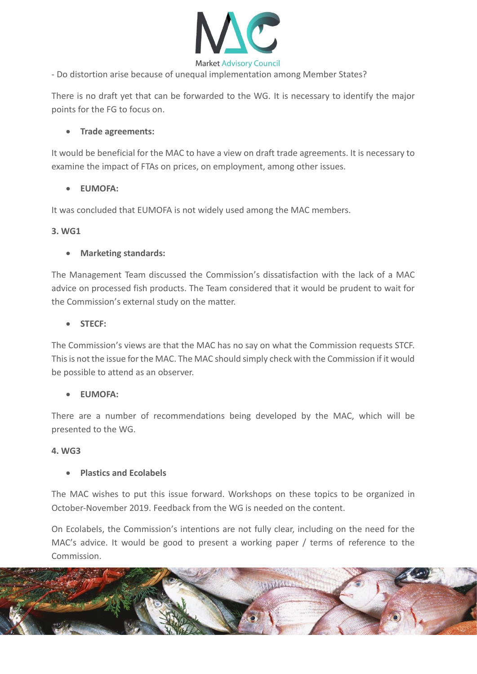

- Do distortion arise because of unequal implementation among Member States?

There is no draft yet that can be forwarded to the WG. It is necessary to identify the major points for the FG to focus on.

#### **Trade agreements:**

It would be beneficial for the MAC to have a view on draft trade agreements. It is necessary to examine the impact of FTAs on prices, on employment, among other issues.

## **EUMOFA:**

It was concluded that EUMOFA is not widely used among the MAC members.

#### **3. WG1**

## **Marketing standards:**

The Management Team discussed the Commission's dissatisfaction with the lack of a MAC advice on processed fish products. The Team considered that it would be prudent to wait for the Commission's external study on the matter.

## **STECF:**

The Commission's views are that the MAC has no say on what the Commission requests STCF. This is not the issue for the MAC. The MAC should simply check with the Commission if it would be possible to attend as an observer.

#### **EUMOFA:**

There are a number of recommendations being developed by the MAC, which will be presented to the WG.

#### **4. WG3**

## **Plastics and Ecolabels**

The MAC wishes to put this issue forward. Workshops on these topics to be organized in October-November 2019. Feedback from the WG is needed on the content.

On Ecolabels, the Commission's intentions are not fully clear, including on the need for the MAC's advice. It would be good to present a working paper / terms of reference to the Commission.